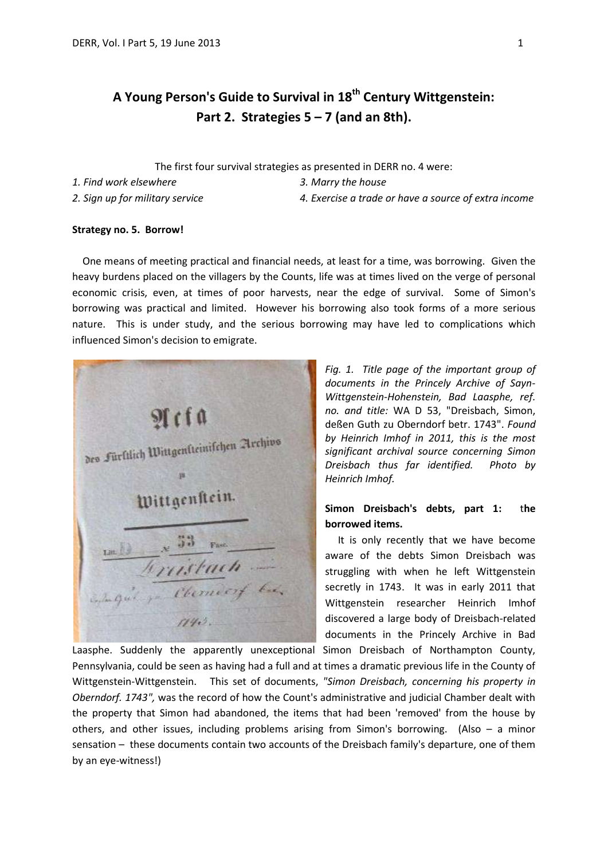# **A Young Person's Guide to Survival in 18th Century Wittgenstein: Part 2. Strategies 5 – 7 (and an 8th).**

The first four survival strategies as presented in DERR no. 4 were:

*1. Find work elsewhere 3. Marry the house*

*2. Sign up for military service 4. Exercise a trade or have a source of extra income*

## **Strategy no. 5. Borrow!**

 One means of meeting practical and financial needs, at least for a time, was borrowing. Given the heavy burdens placed on the villagers by the Counts, life was at times lived on the verge of personal economic crisis, even, at times of poor harvests, near the edge of survival. Some of Simon's borrowing was practical and limited. However his borrowing also took forms of a more serious nature. This is under study, and the serious borrowing may have led to complications which influenced Simon's decision to emigrate.



*Fig. 1. Title page of the important group of documents in the Princely Archive of Sayn-Wittgenstein-Hohenstein, Bad Laasphe, ref. no. and title:* WA D 53, "Dreisbach, Simon, deßen Guth zu Oberndorf betr. 1743". *Found by Heinrich Imhof in 2011, this is the most significant archival source concerning Simon Dreisbach thus far identified. Photo by Heinrich Imhof.*

# **Simon Dreisbach's debts, part 1:** t**he borrowed items.**

 It is only recently that we have become aware of the debts Simon Dreisbach was struggling with when he left Wittgenstein secretly in 1743. It was in early 2011 that Wittgenstein researcher Heinrich Imhof discovered a large body of Dreisbach-related documents in the Princely Archive in Bad

Laasphe. Suddenly the apparently unexceptional Simon Dreisbach of Northampton County, Pennsylvania, could be seen as having had a full and at times a dramatic previous life in the County of Wittgenstein-Wittgenstein. This set of documents, *"Simon Dreisbach, concerning his property in Oberndorf. 1743",* was the record of how the Count's administrative and judicial Chamber dealt with the property that Simon had abandoned, the items that had been 'removed' from the house by others, and other issues, including problems arising from Simon's borrowing. (Also – a minor sensation – these documents contain two accounts of the Dreisbach family's departure, one of them by an eye-witness!)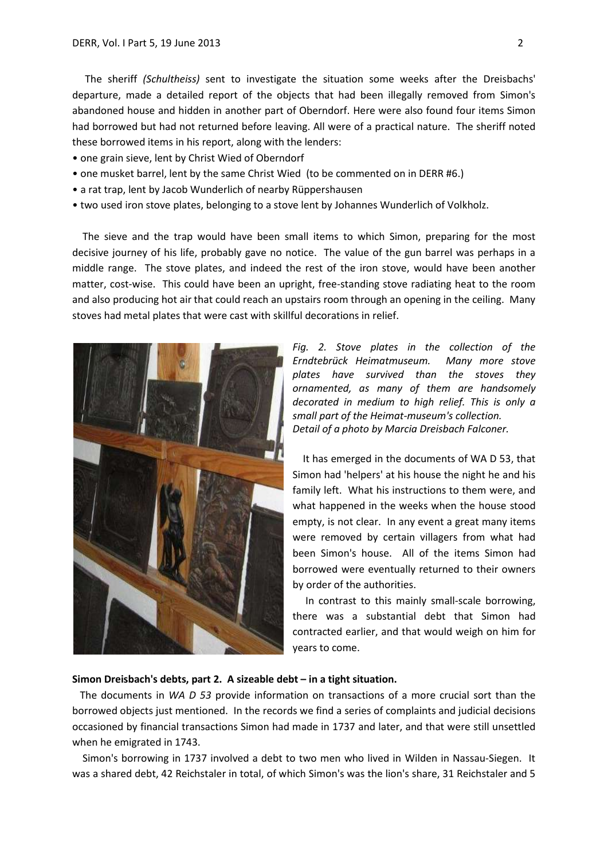The sheriff *(Schultheiss)* sent to investigate the situation some weeks after the Dreisbachs' departure, made a detailed report of the objects that had been illegally removed from Simon's abandoned house and hidden in another part of Oberndorf. Here were also found four items Simon had borrowed but had not returned before leaving. All were of a practical nature. The sheriff noted these borrowed items in his report, along with the lenders:

- one grain sieve, lent by Christ Wied of Oberndorf
- one musket barrel, lent by the same Christ Wied (to be commented on in DERR #6.)
- a rat trap, lent by Jacob Wunderlich of nearby Rüppershausen
- two used iron stove plates, belonging to a stove lent by Johannes Wunderlich of Volkholz.

 The sieve and the trap would have been small items to which Simon, preparing for the most decisive journey of his life, probably gave no notice. The value of the gun barrel was perhaps in a middle range. The stove plates, and indeed the rest of the iron stove, would have been another matter, cost-wise. This could have been an upright, free-standing stove radiating heat to the room and also producing hot air that could reach an upstairs room through an opening in the ceiling. Many stoves had metal plates that were cast with skillful decorations in relief.



*Fig. 2. Stove plates in the collection of the Erndtebrück Heimatmuseum. Many more stove plates have survived than the stoves they ornamented, as many of them are handsomely decorated in medium to high relief. This is only a small part of the Heimat-museum's collection. Detail of a photo by Marcia Dreisbach Falconer.*

It has emerged in the documents of WA D 53, that Simon had 'helpers' at his house the night he and his family left. What his instructions to them were, and what happened in the weeks when the house stood empty, is not clear. In any event a great many items were removed by certain villagers from what had been Simon's house. All of the items Simon had borrowed were eventually returned to their owners by order of the authorities.

 In contrast to this mainly small-scale borrowing, there was a substantial debt that Simon had contracted earlier, and that would weigh on him for years to come.

# **Simon Dreisbach's debts, part 2. A sizeable debt – in a tight situation.**

 The documents in *WA D 53* provide information on transactions of a more crucial sort than the borrowed objects just mentioned. In the records we find a series of complaints and judicial decisions occasioned by financial transactions Simon had made in 1737 and later, and that were still unsettled when he emigrated in 1743.

 Simon's borrowing in 1737 involved a debt to two men who lived in Wilden in Nassau-Siegen. It was a shared debt, 42 Reichstaler in total, of which Simon's was the lion's share, 31 Reichstaler and 5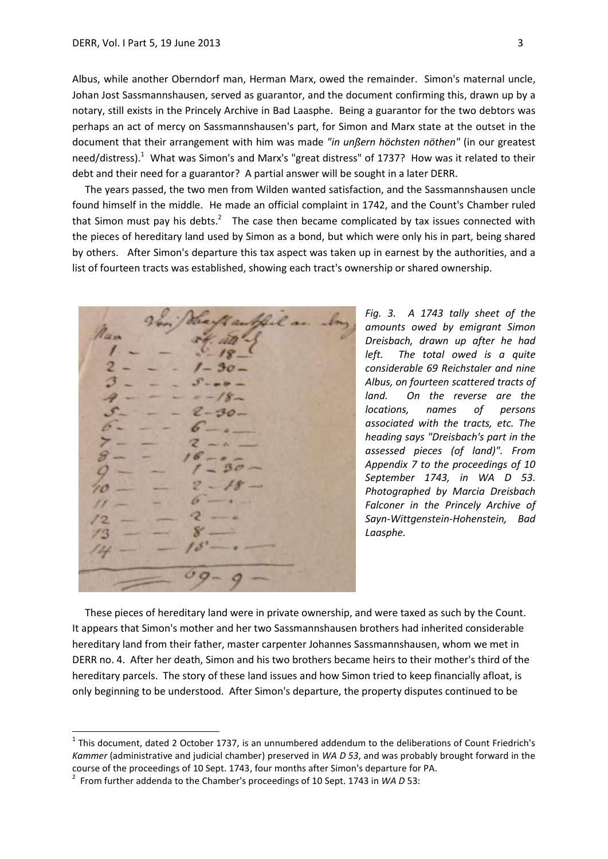Albus, while another Oberndorf man, Herman Marx, owed the remainder. Simon's maternal uncle, Johan Jost Sassmannshausen, served as guarantor, and the document confirming this, drawn up by a notary, still exists in the Princely Archive in Bad Laasphe. Being a guarantor for the two debtors was perhaps an act of mercy on Sassmannshausen's part, for Simon and Marx state at the outset in the document that their arrangement with him was made *"in unßern höchsten nöthen"* (in our greatest need/distress).<sup>1</sup> What was Simon's and Marx's "great distress" of 1737? How was it related to their debt and their need for a guarantor? A partial answer will be sought in a later DERR.

 The years passed, the two men from Wilden wanted satisfaction, and the Sassmannshausen uncle found himself in the middle. He made an official complaint in 1742, and the Count's Chamber ruled that Simon must pay his debts.<sup>2</sup> The case then became complicated by tax issues connected with the pieces of hereditary land used by Simon as a bond, but which were only his in part, being shared by others. After Simon's departure this tax aspect was taken up in earnest by the authorities, and a list of fourteen tracts was established, showing each tract's ownership or shared ownership.

s

*Fig. 3. A 1743 tally sheet of the amounts owed by emigrant Simon Dreisbach, drawn up after he had left. The total owed is a quite considerable 69 Reichstaler and nine Albus, on fourteen scattered tracts of land. On the reverse are the locations, names of persons associated with the tracts, etc. The heading says "Dreisbach's part in the assessed pieces (of land)". From Appendix 7 to the proceedings of 10 September 1743, in WA D 53. Photographed by Marcia Dreisbach Falconer in the Princely Archive of Sayn-Wittgenstein-Hohenstein, Bad Laasphe.* 

 These pieces of hereditary land were in private ownership, and were taxed as such by the Count. It appears that Simon's mother and her two Sassmannshausen brothers had inherited considerable hereditary land from their father, master carpenter Johannes Sassmannshausen, whom we met in DERR no. 4. After her death, Simon and his two brothers became heirs to their mother's third of the hereditary parcels. The story of these land issues and how Simon tried to keep financially afloat, is only beginning to be understood. After Simon's departure, the property disputes continued to be

1

 $<sup>1</sup>$  This document, dated 2 October 1737, is an unnumbered addendum to the deliberations of Count Friedrich's</sup> *Kammer* (administrative and judicial chamber) preserved in *WA D 53*, and was probably brought forward in the course of the proceedings of 10 Sept. 1743, four months after Simon's departure for PA.

<sup>2</sup> From further addenda to the Chamber's proceedings of 10 Sept. 1743 in *WA D* 53: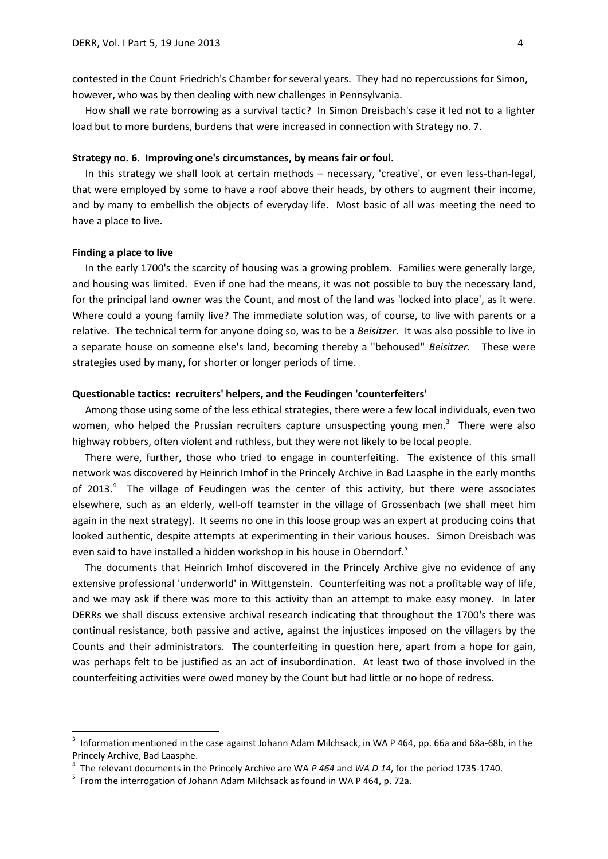contested in the Count Friedrich's Chamber for several years. They had no repercussions for Simon, however, who was by then dealing with new challenges in Pennsylvania.

 How shall we rate borrowing as a survival tactic? In Simon Dreisbach's case it led not to a lighter load but to more burdens, burdens that were increased in connection with Strategy no. 7.

#### **Strategy no. 6. Improving one's circumstances, by means fair or foul.**

 In this strategy we shall look at certain methods – necessary, 'creative', or even less-than-legal, that were employed by some to have a roof above their heads, by others to augment their income, and by many to embellish the objects of everyday life. Most basic of all was meeting the need to have a place to live.

### **Finding a place to live**

1

 In the early 1700's the scarcity of housing was a growing problem. Families were generally large, and housing was limited. Even if one had the means, it was not possible to buy the necessary land, for the principal land owner was the Count, and most of the land was 'locked into place', as it were. Where could a young family live? The immediate solution was, of course, to live with parents or a relative. The technical term for anyone doing so, was to be a *Beisitzer*. It was also possible to live in a separate house on someone else's land, becoming thereby a "behoused" *Beisitzer.* These were strategies used by many, for shorter or longer periods of time.

#### **Questionable tactics: recruiters' helpers, and the Feudingen 'counterfeiters'**

Among those using some of the less ethical strategies, there were a few local individuals, even two women, who helped the Prussian recruiters capture unsuspecting young men.<sup>3</sup> There were also highway robbers, often violent and ruthless, but they were not likely to be local people.

 There were, further, those who tried to engage in counterfeiting. The existence of this small network was discovered by Heinrich Imhof in the Princely Archive in Bad Laasphe in the early months of 2013.<sup>4</sup> The village of Feudingen was the center of this activity, but there were associates elsewhere, such as an elderly, well-off teamster in the village of Grossenbach (we shall meet him again in the next strategy). It seems no one in this loose group was an expert at producing coins that looked authentic, despite attempts at experimenting in their various houses. Simon Dreisbach was even said to have installed a hidden workshop in his house in Oberndorf.<sup>5</sup>

 The documents that Heinrich Imhof discovered in the Princely Archive give no evidence of any extensive professional 'underworld' in Wittgenstein. Counterfeiting was not a profitable way of life, and we may ask if there was more to this activity than an attempt to make easy money. In later DERRs we shall discuss extensive archival research indicating that throughout the 1700's there was continual resistance, both passive and active, against the injustices imposed on the villagers by the Counts and their administrators. The counterfeiting in question here, apart from a hope for gain, was perhaps felt to be justified as an act of insubordination. At least two of those involved in the counterfeiting activities were owed money by the Count but had little or no hope of redress.

<sup>3</sup> Information mentioned in the case against Johann Adam Milchsack, in WA P 464, pp. 66a and 68a-68b, in the Princely Archive, Bad Laasphe.

<sup>4</sup> The relevant documents in the Princely Archive are WA *P 464* and *WA D 14*, for the period 1735-1740.

<sup>&</sup>lt;sup>5</sup> From the interrogation of Johann Adam Milchsack as found in WA P 464, p. 72a.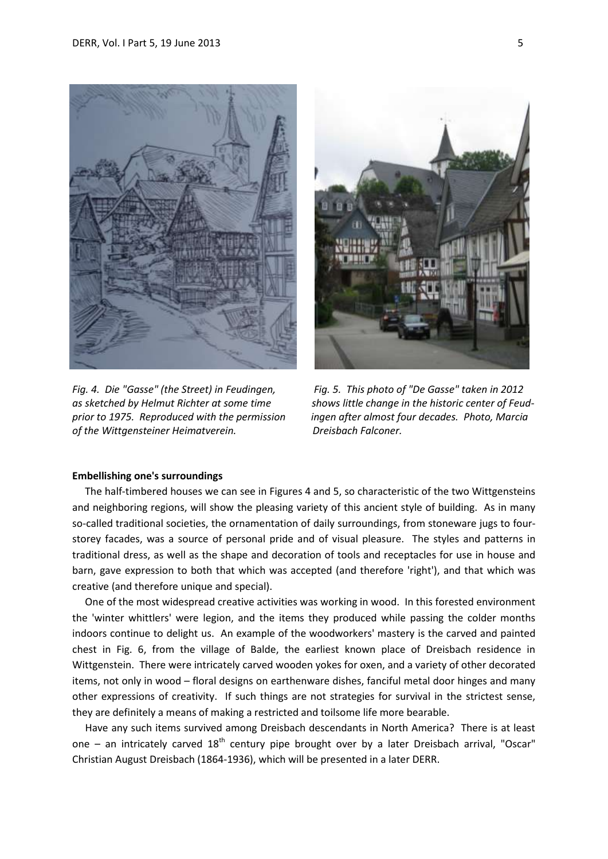

*of the Wittgensteiner Heimatverein. Dreisbach Falconer.*



*Fig. 4. Die "Gasse" (the Street) in Feudingen, Fig. 5. This photo of "De Gasse" taken in 2012* as sketched by Helmut Richter at some time shows little change in the historic center of Feud*prior to 1975. Reproduced with the permission ingen after almost four decades. Photo, Marcia* 

### **Embellishing one's surroundings**

 The half-timbered houses we can see in Figures 4 and 5, so characteristic of the two Wittgensteins and neighboring regions, will show the pleasing variety of this ancient style of building. As in many so-called traditional societies, the ornamentation of daily surroundings, from stoneware jugs to fourstorey facades, was a source of personal pride and of visual pleasure. The styles and patterns in traditional dress, as well as the shape and decoration of tools and receptacles for use in house and barn, gave expression to both that which was accepted (and therefore 'right'), and that which was creative (and therefore unique and special).

 One of the most widespread creative activities was working in wood. In this forested environment the 'winter whittlers' were legion, and the items they produced while passing the colder months indoors continue to delight us. An example of the woodworkers' mastery is the carved and painted chest in Fig. 6, from the village of Balde, the earliest known place of Dreisbach residence in Wittgenstein. There were intricately carved wooden yokes for oxen, and a variety of other decorated items, not only in wood – floral designs on earthenware dishes, fanciful metal door hinges and many other expressions of creativity. If such things are not strategies for survival in the strictest sense, they are definitely a means of making a restricted and toilsome life more bearable.

 Have any such items survived among Dreisbach descendants in North America? There is at least one – an intricately carved  $18<sup>th</sup>$  century pipe brought over by a later Dreisbach arrival, "Oscar" Christian August Dreisbach (1864-1936), which will be presented in a later DERR.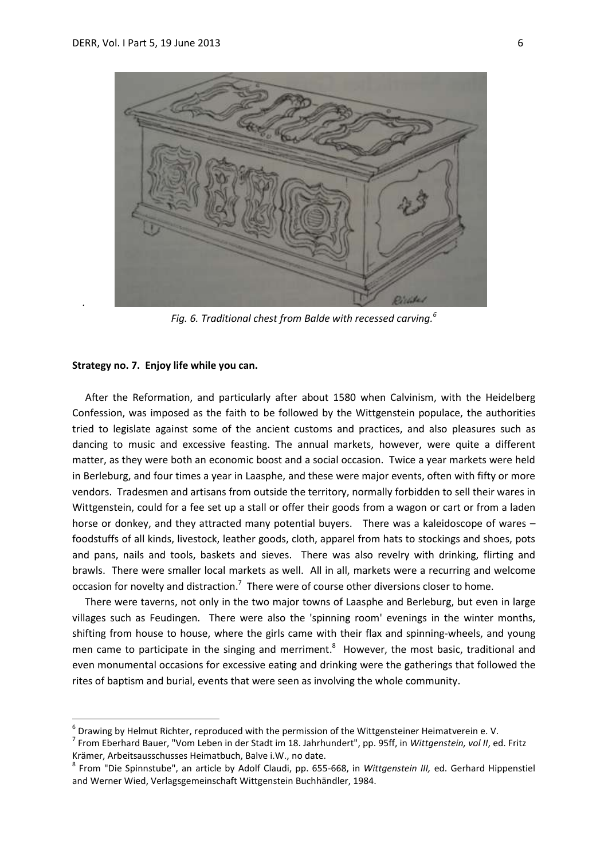

*Fig. 6. Traditional chest from Balde with recessed carving.<sup>6</sup>*

#### **Strategy no. 7. Enjoy life while you can.**

*.*

**.** 

 After the Reformation, and particularly after about 1580 when Calvinism, with the Heidelberg Confession, was imposed as the faith to be followed by the Wittgenstein populace, the authorities tried to legislate against some of the ancient customs and practices, and also pleasures such as dancing to music and excessive feasting. The annual markets, however, were quite a different matter, as they were both an economic boost and a social occasion. Twice a year markets were held in Berleburg, and four times a year in Laasphe, and these were major events, often with fifty or more vendors. Tradesmen and artisans from outside the territory, normally forbidden to sell their wares in Wittgenstein, could for a fee set up a stall or offer their goods from a wagon or cart or from a laden horse or donkey, and they attracted many potential buyers. There was a kaleidoscope of wares – foodstuffs of all kinds, livestock, leather goods, cloth, apparel from hats to stockings and shoes, pots and pans, nails and tools, baskets and sieves. There was also revelry with drinking, flirting and brawls. There were smaller local markets as well. All in all, markets were a recurring and welcome occasion for novelty and distraction.<sup>7</sup> There were of course other diversions closer to home.

 There were taverns, not only in the two major towns of Laasphe and Berleburg, but even in large villages such as Feudingen. There were also the 'spinning room' evenings in the winter months, shifting from house to house, where the girls came with their flax and spinning-wheels, and young men came to participate in the singing and merriment.<sup>8</sup> However, the most basic, traditional and even monumental occasions for excessive eating and drinking were the gatherings that followed the rites of baptism and burial, events that were seen as involving the whole community.

 $^6$  Drawing by Helmut Richter, reproduced with the permission of the Wittgensteiner Heimatverein e. V.

<sup>7</sup> From Eberhard Bauer, "Vom Leben in der Stadt im 18. Jahrhundert", pp. 95ff, in *Wittgenstein, vol II*, ed. Fritz Krämer, Arbeitsausschusses Heimatbuch, Balve i.W., no date.

<sup>8</sup> From "Die Spinnstube", an article by Adolf Claudi, pp. 655-668, in *Wittgenstein III,* ed. Gerhard Hippenstiel and Werner Wied, Verlagsgemeinschaft Wittgenstein Buchhändler, 1984.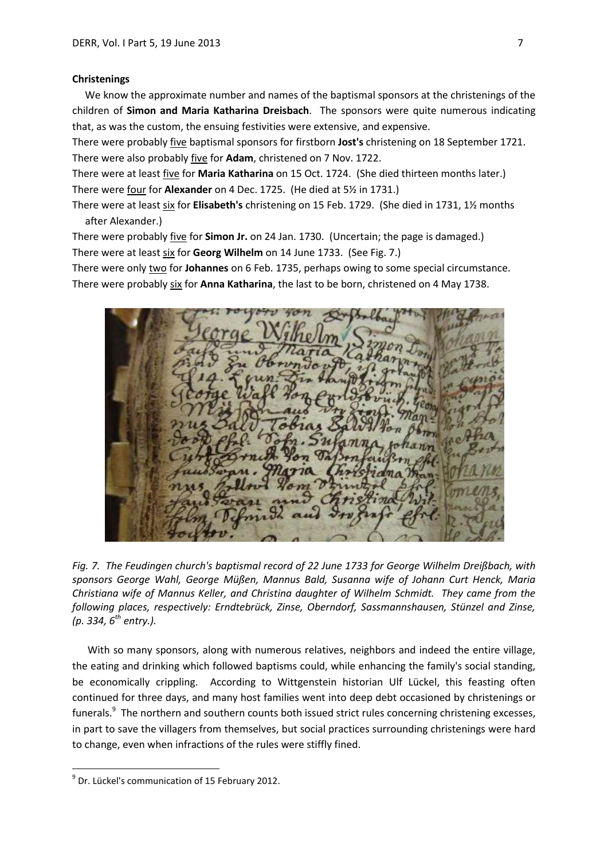#### **Christenings**

 We know the approximate number and names of the baptismal sponsors at the christenings of the children of **Simon and Maria Katharina Dreisbach**. The sponsors were quite numerous indicating that, as was the custom, the ensuing festivities were extensive, and expensive.

There were probably five baptismal sponsors for firstborn **Jost's** christening on 18 September 1721. There were also probably five for **Adam**, christened on 7 Nov. 1722.

There were at least five for **Maria Katharina** on 15 Oct. 1724. (She died thirteen months later.) There were four for **Alexander** on 4 Dec. 1725. (He died at 5½ in 1731.)

There were at least six for **Elisabeth's** christening on 15 Feb. 1729. (She died in 1731, 1½ months after Alexander.)

There were probably five for **Simon Jr.** on 24 Jan. 1730. (Uncertain; the page is damaged.) There were at least six for **Georg Wilhelm** on 14 June 1733. (See Fig. 7.)

There were only two for **Johannes** on 6 Feb. 1735, perhaps owing to some special circumstance. There were probably six for **Anna Katharina**, the last to be born, christened on 4 May 1738.



*Fig. 7. The Feudingen church's baptismal record of 22 June 1733 for George Wilhelm Dreißbach, with sponsors George Wahl, George Müßen, Mannus Bald, Susanna wife of Johann Curt Henck, Maria Christiana wife of Mannus Keller, and Christina daughter of Wilhelm Schmidt. They came from the following places, respectively: Erndtebrück, Zinse, Oberndorf, Sassmannshausen, Stünzel and Zinse, (p. 334, 6 th entry.).*

 With so many sponsors, along with numerous relatives, neighbors and indeed the entire village, the eating and drinking which followed baptisms could, while enhancing the family's social standing, be economically crippling. According to Wittgenstein historian Ulf Lückel, this feasting often continued for three days, and many host families went into deep debt occasioned by christenings or funerals.<sup>9</sup> The northern and southern counts both issued strict rules concerning christening excesses, in part to save the villagers from themselves, but social practices surrounding christenings were hard to change, even when infractions of the rules were stiffly fined.

**.** 

 $^9$  Dr. Lückel's communication of 15 February 2012.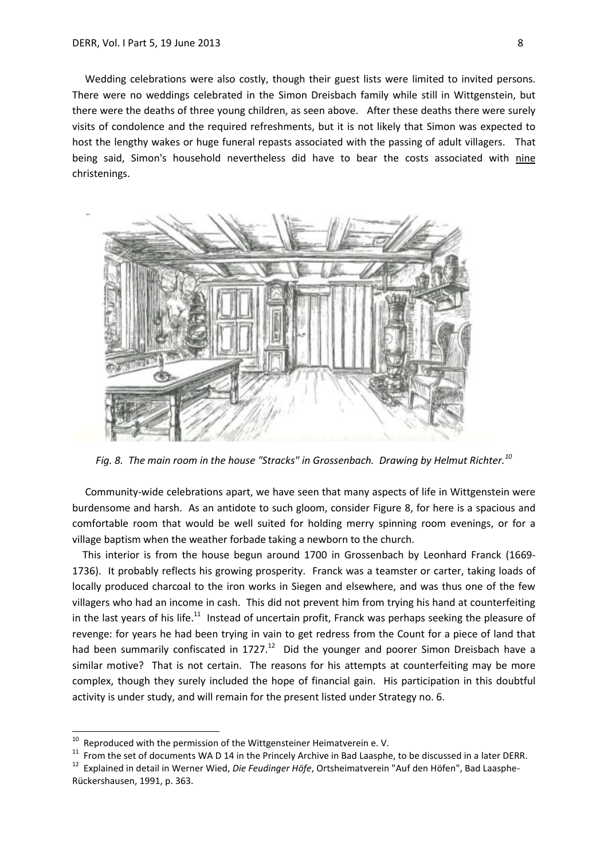Wedding celebrations were also costly, though their guest lists were limited to invited persons. There were no weddings celebrated in the Simon Dreisbach family while still in Wittgenstein, but there were the deaths of three young children, as seen above. After these deaths there were surely visits of condolence and the required refreshments, but it is not likely that Simon was expected to host the lengthy wakes or huge funeral repasts associated with the passing of adult villagers. That being said, Simon's household nevertheless did have to bear the costs associated with nine christenings.



*Fig. 8. The main room in the house "Stracks" in Grossenbach. Drawing by Helmut Richter.<sup>10</sup>*

 Community-wide celebrations apart, we have seen that many aspects of life in Wittgenstein were burdensome and harsh. As an antidote to such gloom, consider Figure 8, for here is a spacious and comfortable room that would be well suited for holding merry spinning room evenings, or for a village baptism when the weather forbade taking a newborn to the church.

 This interior is from the house begun around 1700 in Grossenbach by Leonhard Franck (1669- 1736). It probably reflects his growing prosperity. Franck was a teamster or carter, taking loads of locally produced charcoal to the iron works in Siegen and elsewhere, and was thus one of the few villagers who had an income in cash. This did not prevent him from trying his hand at counterfeiting in the last years of his life.<sup>11</sup> Instead of uncertain profit, Franck was perhaps seeking the pleasure of revenge: for years he had been trying in vain to get redress from the Count for a piece of land that had been summarily confiscated in  $1727<sup>12</sup>$  Did the younger and poorer Simon Dreisbach have a similar motive? That is not certain. The reasons for his attempts at counterfeiting may be more complex, though they surely included the hope of financial gain. His participation in this doubtful activity is under study, and will remain for the present listed under Strategy no. 6.

 $\frac{1}{10}$ Reproduced with the permission of the Wittgensteiner Heimatverein e. V.

 $11$  From the set of documents WA D 14 in the Princely Archive in Bad Laasphe, to be discussed in a later DERR.

<sup>12</sup> Explained in detail in Werner Wied, *Die Feudinger Höfe*, Ortsheimatverein "Auf den Höfen", Bad Laasphe-Rückershausen, 1991, p. 363.